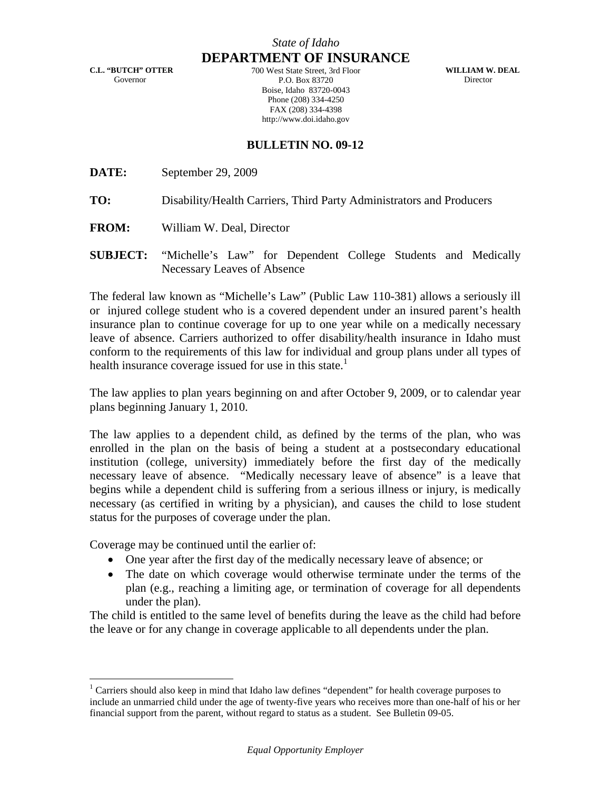**C.L. "BUTCH" OTTER** Governor

**DEPARTMENT OF INSURANCE** 700 West State Street, 3rd Floor P.O. Box 83720 Boise, Idaho 83720-0043 Phone (208) 334-4250 FAX (208) 334-4398 http://www.doi.idaho.gov

**WILLIAM W. DEAL** Director

## **BULLETIN NO. 09-12**

- **DATE:** September 29, 2009
- **TO:** Disability/Health Carriers, Third Party Administrators and Producers
- **FROM:** William W. Deal, Director
- **SUBJECT:** "Michelle's Law" for Dependent College Students and Medically Necessary Leaves of Absence

The federal law known as "Michelle's Law" (Public Law 110-381) allows a seriously ill or injured college student who is a covered dependent under an insured parent's health insurance plan to continue coverage for up to one year while on a medically necessary leave of absence. Carriers authorized to offer disability/health insurance in Idaho must conform to the requirements of this law for individual and group plans under all types of healthinsurance coverage issued for use in this state[.](#page-0-0)<sup>1</sup>

The law applies to plan years beginning on and after October 9, 2009, or to calendar year plans beginning January 1, 2010.

The law applies to a dependent child, as defined by the terms of the plan, who was enrolled in the plan on the basis of being a student at a postsecondary educational institution (college, university) immediately before the first day of the medically necessary leave of absence. "Medically necessary leave of absence" is a leave that begins while a dependent child is suffering from a serious illness or injury, is medically necessary (as certified in writing by a physician), and causes the child to lose student status for the purposes of coverage under the plan.

Coverage may be continued until the earlier of:

- One year after the first day of the medically necessary leave of absence; or
- The date on which coverage would otherwise terminate under the terms of the plan (e.g., reaching a limiting age, or termination of coverage for all dependents under the plan).

The child is entitled to the same level of benefits during the leave as the child had before the leave or for any change in coverage applicable to all dependents under the plan.

<span id="page-0-0"></span><sup>&</sup>lt;sup>1</sup> Carriers should also keep in mind that Idaho law defines "dependent" for health coverage purposes to include an unmarried child under the age of twenty-five years who receives more than one-half of his or her financial support from the parent, without regard to status as a student. See Bulletin 09-05.